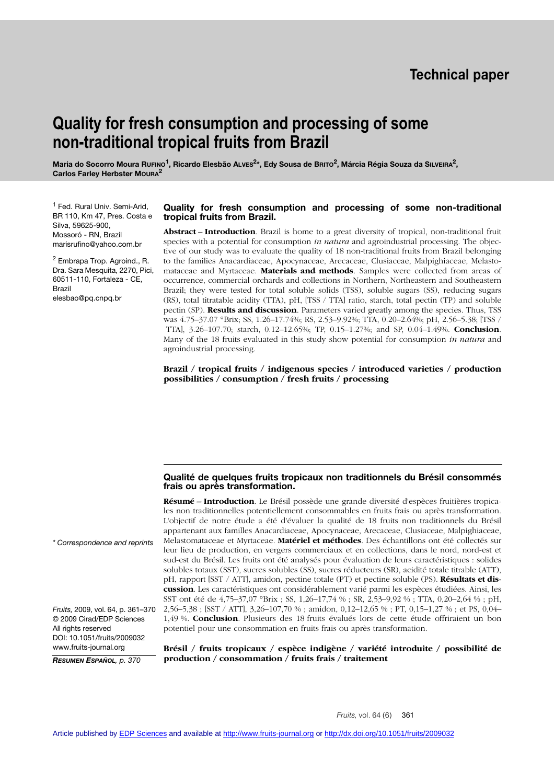## **Technical paper**

# **Quality for fresh consumption and processing of some non-traditional tropical fruits from Brazil**

**Maria do Socorro Moura RuFINO<sup>1</sup>, Ricardo Elesbão ALVES<sup>2\*</sup>, Edy Sousa de BRITO<sup>2</sup>, Márcia Régia Souza da SILVEIRA<sup>2</sup>, Carlos Farley Herbster MOURA<sup>2</sup>**

<sup>1</sup> Fed. Rural Univ. Semi-Arid, BR 110, Km 47, Pres. Costa e Silva, 59625-900, Mossoró - RN, Brazil marisrufino@yahoo.com.br

<sup>2</sup> Embrapa Trop. Agroind., R. Dra. Sara Mesquita, 2270, Pici, 60511-110, Fortaleza - CE, Brazil elesbao@pq.cnpq.br

#### **Quality for fresh consumption and processing of some non-traditional tropical fruits from Brazil.**

**Abstract** – **Introduction**. Brazil is home to a great diversity of tropical, non-traditional fruit species with a potential for consumption *in natura* and agroindustrial processing. The objective of our study was to evaluate the quality of 18 non-traditional fruits from Brazil belonging to the families Anacardiaceae, Apocynaceae, Arecaceae, Clusiaceae, Malpighiaceae, Melastomataceae and Myrtaceae. **Materials and methods**. Samples were collected from areas of occurrence, commercial orchards and collections in Northern, Northeastern and Southeastern Brazil; they were tested for total soluble solids (TSS), soluble sugars (SS), reducing sugars (RS), total titratable acidity (TTA), pH, [TSS / TTA] ratio, starch, total pectin (TP) and soluble pectin (SP). **Results and discussion**. Parameters varied greatly among the species. Thus, TSS was 4.75–37.07 °Brix; SS, 1.26–17.74%; RS, 2.53–9.92%; TTA, 0.20–2.64%; pH, 2.56–5.38; [TSS / TTA], 3.26–107.70; starch, 0.12–12.65%; TP, 0.15–1.27%; and SP, 0.04–1.49%. **Conclusion**. Many of the 18 fruits evaluated in this study show potential for consumption *in natura* and agroindustrial processing.

**Brazil / tropical fruits / indigenous species / introduced varieties / production possibilities / consumption / fresh fruits / processing**

#### **Qualité de quelques fruits tropicaux non traditionnels du Brésil consommés frais ou après transformation.**

**Résumé – Introduction**. Le Brésil possède une grande diversité d'espèces fruitières tropicales non traditionnelles potentiellement consommables en fruits frais ou après transformation. L'objectif de notre étude a été d'évaluer la qualité de 18 fruits non traditionnels du Brésil appartenant aux familles Anacardiaceae, Apocynaceae, Arecaceae, Clusiaceae, Malpighiaceae, Melastomataceae et Myrtaceae. **Matériel et méthodes**. Des échantillons ont été collectés sur leur lieu de production, en vergers commerciaux et en collections, dans le nord, nord-est et sud-est du Brésil. Les fruits ont été analysés pour évaluation de leurs caractéristiques : solides solubles totaux (SST), sucres solubles (SS), sucres réducteurs (SR), acidité totale titrable (ATT), pH, rapport [SST / ATT], amidon, pectine totale (PT) et pectine soluble (PS). **Résultats et discussion**. Les caractéristiques ont considérablement varié parmi les espèces étudiées. Ainsi, les SST ont été de 4,75–37,07 °Brix ; SS, 1,26–17,74 % ; SR, 2,53–9,92 % ; TTA, 0,20–2,64 % ; pH, 2,56–5,38 ; [SST / ATT], 3,26–107,70 % ; amidon, 0,12–12,65 % ; PT, 0,15–1,27 % ; et PS, 0,04– 1,49 %. **Conclusion**. Plusieurs des 18 fruits évalués lors de cette étude offriraient un bon potentiel pour une consommation en fruits frais ou après transformation.

*\* Correspondence and reprints*

*Fruits,* 2009, vol. 64, p. 361–370 © 2009 Cirad/EDP Sciences All rights reserved DOI: 10.1051/fruits/2009032 www.fruits-journal.org

*RESUMEN ESPAÑOL, p. 370*

**Brésil / fruits tropicaux / espèce indigène / variété introduite / possibilité de production / consommation / fruits frais / traitement**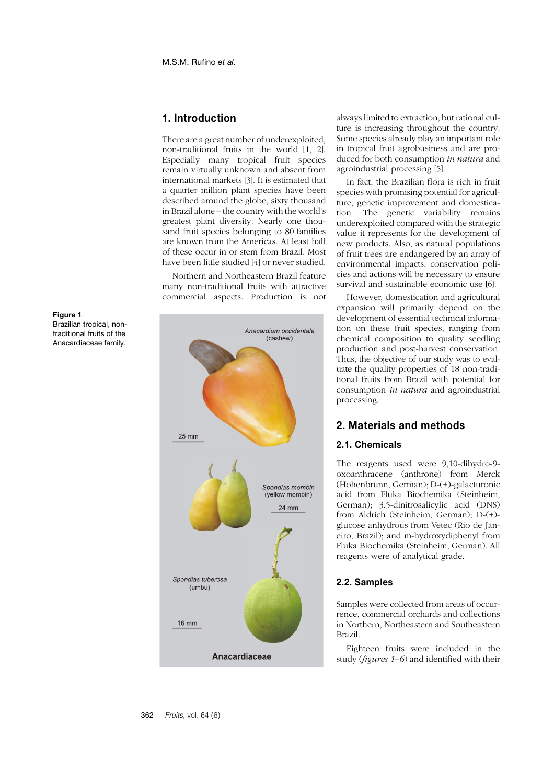## **1. Introduction**

There are a great number of underexploited, non-traditional fruits in the world [1, 2]. Especially many tropical fruit species remain virtually unknown and absent from international markets [3]. It is estimated that a quarter million plant species have been described around the globe, sixty thousand in Brazil alone – the country with the world's greatest plant diversity. Nearly one thousand fruit species belonging to 80 families are known from the Americas. At least half of these occur in or stem from Brazil. Most have been little studied [4] or never studied.

Northern and Northeastern Brazil feature many non-traditional fruits with attractive commercial aspects. Production is not



always limited to extraction, but rational culture is increasing throughout the country. Some species already play an important role in tropical fruit agrobusiness and are produced for both consumption *in natura* and agroindustrial processing [5].

In fact, the Brazilian flora is rich in fruit species with promising potential for agriculture, genetic improvement and domestication. The genetic variability remains underexploited compared with the strategic value it represents for the development of new products. Also, as natural populations of fruit trees are endangered by an array of environmental impacts, conservation policies and actions will be necessary to ensure survival and sustainable economic use [6].

However, domestication and agricultural expansion will primarily depend on the development of essential technical information on these fruit species, ranging from chemical composition to quality seedling production and post-harvest conservation. Thus, the objective of our study was to evaluate the quality properties of 18 non-traditional fruits from Brazil with potential for consumption *in natura* and agroindustrial processing.

### **2. Materials and methods**

#### **2.1. Chemicals**

The reagents used were 9,10-dihydro-9 oxoanthracene (anthrone) from Merck (Hohenbrunn, German); D-(+)-galacturonic acid from Fluka Biochemika (Steinheim, German); 3,5-dinitrosalicylic acid (DNS) from Aldrich (Steinheim, German); D-(+) glucose anhydrous from Vetec (Rio de Janeiro, Brazil); and m-hydroxydiphenyl from Fluka Biochemika (Steinheim, German). All reagents were of analytical grade.

#### **2.2. Samples**

Samples were collected from areas of occurrence, commercial orchards and collections in Northern, Northeastern and Southeastern Brazil.

Eighteen fruits were included in the study (*figures 1–6*) and identified with their

#### **Figure 1**. Brazilian tropical, nontraditional fruits of the Anacardiaceae family.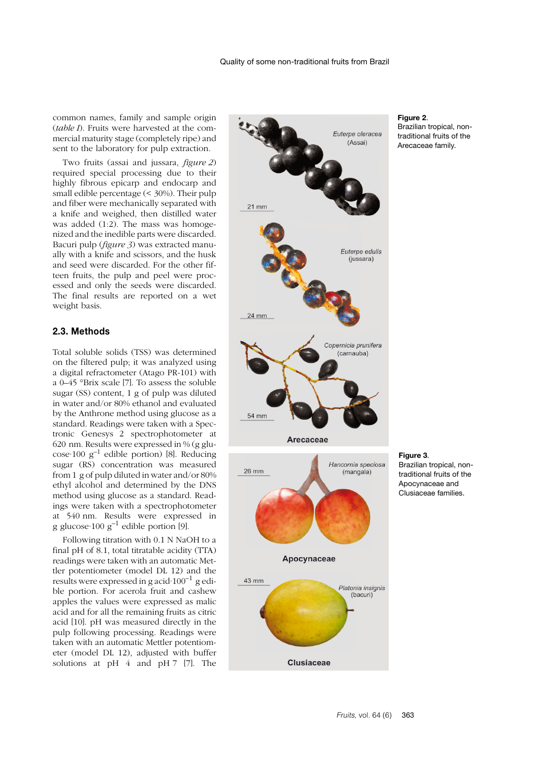common names, family and sample origin (*table I*). Fruits were harvested at the commercial maturity stage (completely ripe) and sent to the laboratory for pulp extraction.

Two fruits (assai and jussara, *figure 2*) required special processing due to their highly fibrous epicarp and endocarp and small edible percentage (< 30%). Their pulp and fiber were mechanically separated with a knife and weighed, then distilled water was added (1:2). The mass was homogenized and the inedible parts were discarded. Bacuri pulp (*figure 3*) was extracted manually with a knife and scissors, and the husk and seed were discarded. For the other fifteen fruits, the pulp and peel were processed and only the seeds were discarded. The final results are reported on a wet weight basis.

#### **2.3. Methods**

Total soluble solids (TSS) was determined on the filtered pulp; it was analyzed using a digital refractometer (Atago PR-101) with a 0–45 °Brix scale [7]. To assess the soluble sugar (SS) content, 1 g of pulp was diluted in water and/or 80% ethanol and evaluated by the Anthrone method using glucose as a standard. Readings were taken with a Spectronic Genesys 2 spectrophotometer at 620 nm. Results were expressed in % (g glu- $\csc 100 \text{ g}^{-1}$  edible portion) [8]. Reducing sugar (RS) concentration was measured from 1 g of pulp diluted in water and/or 80% ethyl alcohol and determined by the DNS method using glucose as a standard. Readings were taken with a spectrophotometer at 540 nm. Results were expressed in g glucose 100  $g^{-1}$  edible portion [9].

Following titration with 0.1 N NaOH to a final pH of 8.1, total titratable acidity (TTA) readings were taken with an automatic Mettler potentiometer (model DL 12) and the results were expressed in g acid $\cdot 100^{-1}$  g edible portion. For acerola fruit and cashew apples the values were expressed as malic acid and for all the remaining fruits as citric acid [10]. pH was measured directly in the pulp following processing. Readings were taken with an automatic Mettler potentiometer (model DL 12), adjusted with buffer solutions at pH 4 and pH 7 [7]. The



Apocynaceae

**Clusiaceae** 

43 mm

#### **Figure 2**.

Brazilian tropical, nontraditional fruits of the Arecaceae family.

**Figure 3**. Brazilian tropical, nontraditional fruits of the Apocynaceae and Clusiaceae families.

Platonia insignis (bacuri)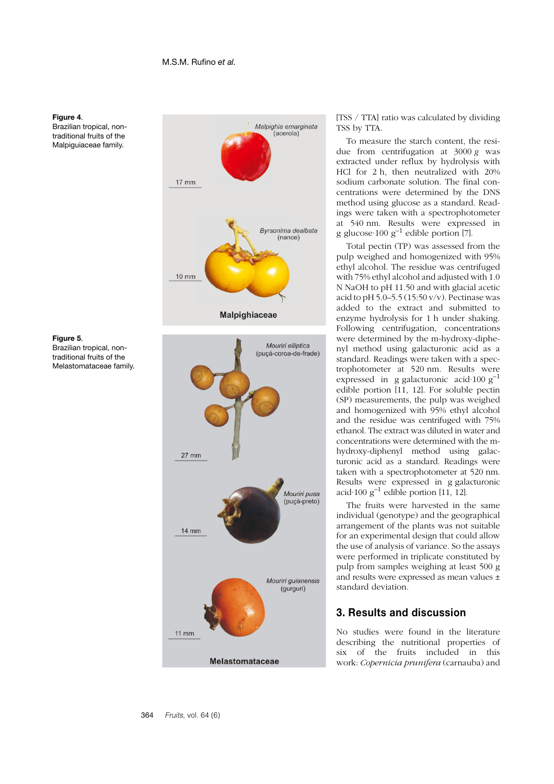

Brazilian tropical, nontraditional fruits of the Malpiguiaceae family.





Brazilian tropical, nontraditional fruits of the Melastomataceae family.



[TSS / TTA] ratio was calculated by dividing TSS by TTA.

To measure the starch content, the residue from centrifugation at 3000 *g* was extracted under reflux by hydrolysis with HCl for 2 h, then neutralized with 20% sodium carbonate solution. The final concentrations were determined by the DNS method using glucose as a standard. Readings were taken with a spectrophotometer at 540 nm. Results were expressed in g glucose 100  $g^{-1}$  edible portion [7].

Total pectin (TP) was assessed from the pulp weighed and homogenized with 95% ethyl alcohol. The residue was centrifuged with 75% ethyl alcohol and adjusted with 1.0 N NaOH to pH 11.50 and with glacial acetic acid to pH 5.0–5.5 (15:50 v/v). Pectinase was added to the extract and submitted to enzyme hydrolysis for 1 h under shaking. Following centrifugation, concentrations were determined by the m-hydroxy-diphenyl method using galacturonic acid as a standard. Readings were taken with a spectrophotometer at 520 nm. Results were expressed in g galacturonic acid $\cdot 100 \text{ g}^{-1}$ edible portion [11, 12]. For soluble pectin (SP) measurements, the pulp was weighed and homogenized with 95% ethyl alcohol and the residue was centrifuged with 75% ethanol. The extract was diluted in water and concentrations were determined with the mhydroxy-diphenyl method using galacturonic acid as a standard. Readings were taken with a spectrophotometer at 520 nm. Results were expressed in g galacturonic acid $\cdot$ 100 g<sup>-1</sup> edible portion [11, 12].

The fruits were harvested in the same individual (genotype) and the geographical arrangement of the plants was not suitable for an experimental design that could allow the use of analysis of variance. So the assays were performed in triplicate constituted by pulp from samples weighing at least 500 g and results were expressed as mean values ± standard deviation.

## **3. Results and discussion**

No studies were found in the literature describing the nutritional properties of six of the fruits included in this work: *Copernicia prunifera* (carnauba) and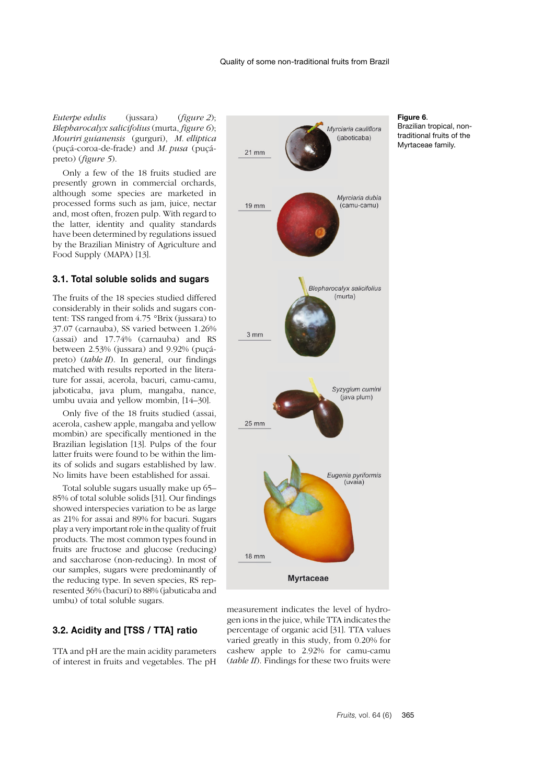#### *Euterpe edulis* (jussara) (*figure 2*); *Blepharocalyx salicifolius* (murta, *figure 6*); *Mouriri guianensis* (gurguri), *M. elliptica* (puçá-coroa-de-frade) and *M. pusa* (puçápreto) (*figure 5*).

Only a few of the 18 fruits studied are presently grown in commercial orchards, although some species are marketed in processed forms such as jam, juice, nectar and, most often, frozen pulp. With regard to the latter, identity and quality standards have been determined by regulations issued by the Brazilian Ministry of Agriculture and Food Supply (MAPA) [13].

#### **3.1. Total soluble solids and sugars**

The fruits of the 18 species studied differed considerably in their solids and sugars content: TSS ranged from 4.75 °Brix (jussara) to 37.07 (carnauba), SS varied between 1.26% (assai) and 17.74% (carnauba) and RS between 2.53% (jussara) and 9.92% (puçápreto) (*table II*). In general, our findings matched with results reported in the literature for assai, acerola, bacuri, camu-camu, jaboticaba, java plum, mangaba, nance, umbu uvaia and yellow mombin, [14–30].

Only five of the 18 fruits studied (assai, acerola, cashew apple, mangaba and yellow mombin) are specifically mentioned in the Brazilian legislation [13]. Pulps of the four latter fruits were found to be within the limits of solids and sugars established by law. No limits have been established for assai.

Total soluble sugars usually make up 65– 85% of total soluble solids [31]. Our findings showed interspecies variation to be as large as 21% for assai and 89% for bacuri. Sugars play a very important role in the quality of fruit products. The most common types found in fruits are fructose and glucose (reducing) and saccharose (non-reducing). In most of our samples, sugars were predominantly of the reducing type. In seven species, RS represented 36% (bacuri) to 88% (jabuticaba and umbu) of total soluble sugars.

#### **3.2. Acidity and [TSS / TTA] ratio**

TTA and pH are the main acidity parameters of interest in fruits and vegetables. The pH



#### **Figure 6**.

Brazilian tropical, nontraditional fruits of the Myrtaceae family.

gen ions in the juice, while TTA indicates the percentage of organic acid [31]. TTA values varied greatly in this study, from 0.20% for cashew apple to 2.92% for camu-camu (*table II*). Findings for these two fruits were

measurement indicates the level of hydro-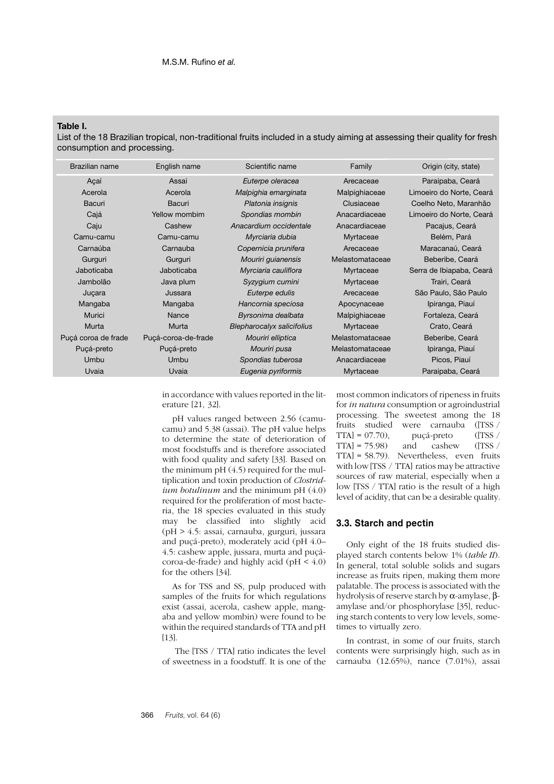#### **Table I.**

List of the 18 Brazilian tropical, non-traditional fruits included in a study aiming at assessing their quality for fresh consumption and processing.

| Brazilian name      | English name        | Scientific name            | Family          | Origin (city, state)     |
|---------------------|---------------------|----------------------------|-----------------|--------------------------|
| Açaí                | Assai               | Euterpe oleracea           | Arecaceae       | Paraipaba, Ceará         |
| Acerola             | Acerola             | Malpighia emarginata       | Malpighiaceae   | Limoeiro do Norte, Ceará |
| Bacuri              | Bacuri              | Platonia insignis          | Clusiaceae      | Coelho Neto, Maranhão    |
| Cajá                | Yellow mombim       | Spondias mombin            | Anacardiaceae   | Limoeiro do Norte, Ceará |
| Caju                | Cashew              | Anacardium occidentale     | Anacardiaceae   | Pacajus, Ceará           |
| Camu-camu           | Camu-camu           | Myrciaria dubia            | Myrtaceae       | Belém, Pará              |
| Carnaúba            | Carnauba            | Copernicia prunifera       | Arecaceae       | Maracanaú, Ceará         |
| Gurguri             | Gurguri             | Mouriri guianensis         | Melastomataceae | Beberibe, Ceará          |
| Jaboticaba          | Jaboticaba          | Myrciaria cauliflora       | Myrtaceae       | Serra de Ibiapaba, Ceará |
| Jambolão            | Java plum           | Syzygium cumini            | Myrtaceae       | Trairi, Ceará            |
| Juçara              | Jussara             | Euterpe edulis             | Arecaceae       | São Paulo, São Paulo     |
| Mangaba             | Mangaba             | Hancornia speciosa         | Apocynaceae     | Ipiranga, Piauí          |
| Murici              | Nance               | Byrsonima dealbata         | Malpighiaceae   | Fortaleza, Ceará         |
| Murta               | Murta               | Blepharocalyx salicifolius | Myrtaceae       | Crato, Ceará             |
| Puçá coroa de frade | Puçá-coroa-de-frade | Mouriri elliptica          | Melastomataceae | Beberibe, Ceará          |
| Puçá-preto          | Pucá-preto          | Mouriri pusa               | Melastomataceae | Ipiranga, Piauí          |
| Umbu                | Umbu                | Spondias tuberosa          | Anacardiaceae   | Picos, Piauí             |
| Uvaia               | Uvaia               | Eugenia pyriformis         | Myrtaceae       | Paraipaba, Ceará         |

in accordance with values reported in the literature [21, 32].

pH values ranged between 2.56 (camucamu) and 5.38 (assai). The pH value helps to determine the state of deterioration of most foodstuffs and is therefore associated with food quality and safety [33]. Based on the minimum  $pH(4.5)$  required for the multiplication and toxin production of *Clostridium botulinum* and the minimum pH (4.0) required for the proliferation of most bacteria, the 18 species evaluated in this study may be classified into slightly acid (pH > 4.5: assai, carnauba, gurguri, jussara and puçá-preto), moderately acid (pH 4.0– 4.5: cashew apple, jussara, murta and puçácoroa-de-frade) and highly acid ( $pH < 4.0$ ) for the others [34].

As for TSS and SS, pulp produced with samples of the fruits for which regulations exist (assai, acerola, cashew apple, mangaba and yellow mombin) were found to be within the required standards of TTA and pH [13].

 The [TSS / TTA] ratio indicates the level of sweetness in a foodstuff. It is one of the most common indicators of ripeness in fruits for *in natura* consumption or agroindustrial processing. The sweetest among the 18 fruits studied were carnauba ([TSS /  $\text{TTA} = 07.70$ ,  $\text{pução} - \text{preto}$  ([TSS / TTA] = 75.98) and cashew ([TSS /  $TTA = 75.98$  and cashew ([TSS / TTA] = 58.79). Nevertheless, even fruits with low [TSS / TTA] ratios may be attractive sources of raw material, especially when a low [TSS / TTA] ratio is the result of a high level of acidity, that can be a desirable quality.

#### **3.3. Starch and pectin**

Only eight of the 18 fruits studied displayed starch contents below 1% (*table II*). In general, total soluble solids and sugars increase as fruits ripen, making them more palatable. The process is associated with the hydrolysis of reserve starch by α-amylase, βamylase and/or phosphorylase [35], reducing starch contents to very low levels, sometimes to virtually zero.

In contrast, in some of our fruits, starch contents were surprisingly high, such as in carnauba (12.65%), nance (7.01%), assai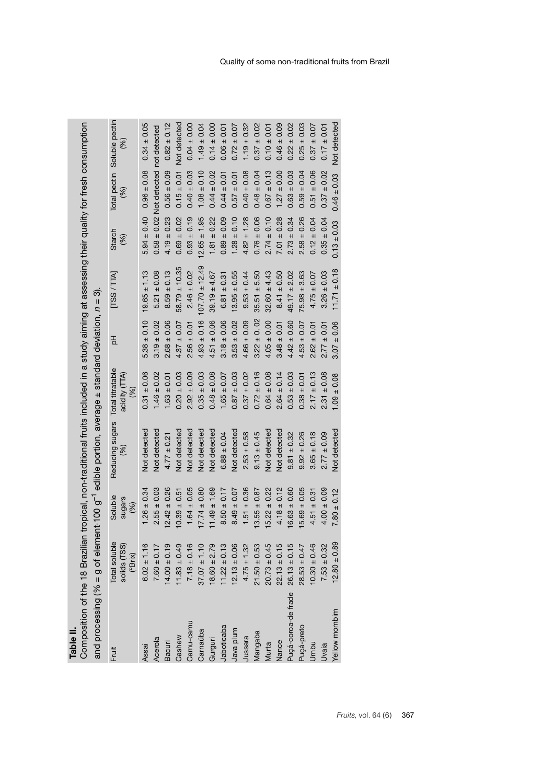| position of the 18 Brazilian tropical |
|---------------------------------------|
|                                       |
|                                       |
|                                       |

I, non-traditional fruits included in a study aiming at assessing their quality for fresh consumption Composition of the 18 Brazilian tropical, non-traditional fruits included in a study aiming at assessing their quality for fresh consumption **Table**<br>Comp

| and processing (% = g of element 100 g <sup>-1</sup> edible portion, average ± standard deviation, $n = 3$ ). |                                          |                           |                                         |                      |                 |                    |                 |                           |                                    |
|---------------------------------------------------------------------------------------------------------------|------------------------------------------|---------------------------|-----------------------------------------|----------------------|-----------------|--------------------|-----------------|---------------------------|------------------------------------|
| Fruit                                                                                                         | Total soluble<br>solids (TSS)<br>(°Brix) | Soluble<br>sugars<br>(96) | Reducing sugars Total titratable<br>(%) | acidity (TTA)<br>(%) | 동               | [TSS/TA]           | Starch<br>(%)   | (%)                       | Total pectin Soluble pectin<br>(%) |
| Assai                                                                                                         | $6.02 \pm 1.16$                          | $1.26 \pm 0.34$           | Not detected                            | $0.31 \pm 0.06$      | $5.38 \pm 0.10$ | $19.65 \pm 1.13$   | $5.94 \pm 0.40$ | $0.96 \pm 0.08$           | $0.34 \pm 0.05$                    |
| Acerola                                                                                                       | $7.60 \pm 0.17$                          | $2.55 \pm 0.03$           | <b>Not detected</b>                     | $1.46 \pm 0.02$      | $3.19 \pm 0.02$ | $5.21 \pm 0.08$    | $0.58 \pm 0.02$ | Not detected not detected |                                    |
| Bacuri                                                                                                        | $4.00 \pm 0.19$                          | $12.42 \pm 0.26$          | $4.77 \pm 0.21$                         | $1.63 \pm 0.01$      | $2.68 \pm 0.06$ | $8.59 \pm 0.13$    | $4.19 \pm 0.23$ | $0.56 \pm 0.09$           | $0.82 \pm 0.12$                    |
| Cashew                                                                                                        | $1.83 \pm 0.49$                          | $10.39 \pm 0.51$          | Not detected                            | $0.20 \pm 0.03$      | $4.37 \pm 0.07$ | $58.79 \pm 10.35$  | $0.69 \pm 0.02$ | $0.15 \pm 0.01$           | Not detected                       |
| Camu-camu                                                                                                     | $7.18 \pm 0.16$                          | $1.64 \pm 0.05$           | <b>Not detected</b>                     | $2.92 \pm 0.09$      | $2.56 \pm 0.01$ | $2.46 \pm 0.02$    | $0.93 \pm 0.19$ | $0.40 \pm 0.03$           | $0.04 \pm 0.00$                    |
| Carnaúba                                                                                                      | $37.07 \pm 1.10$                         | $17.74 \pm 0.80$          | Not detected                            | $0.35 \pm 0.03$      | $4.93 \pm 0.16$ | $107.70 \pm 12.49$ | $2.65 \pm 1.95$ | $1.08 \pm 0.10$           | $1.49 \pm 0.04$                    |
| Gurguri                                                                                                       | $8.60 \pm 2.79$                          | $11.49 \pm 1.69$          | Not detected                            | $0.48 \pm 0.08$      | $4.51 \pm 0.06$ | $39.19 \pm 4.67$   | $1.81 \pm 0.22$ | $0.44 \pm 0.02$           | $0.14 \pm 0.00$                    |
| Jaboticaba                                                                                                    | $1.22 \pm 0.13$                          | $8.50 \pm 0.17$           | $6.88 \pm 0.04$                         | $1.65 \pm 0.07$      | $3.18 \pm 0.06$ | $6.81 \pm 0.31$    | $0.89 \pm 0.09$ | $0.44 \pm 0.01$           | $0.06 \pm 0.01$                    |
| Java plum                                                                                                     | $12.13 \pm 0.06$                         | $8.49 \pm 0.07$           | Not detected                            | $0.87 \pm 0.03$      | $3.53 \pm 0.02$ | $13.95 \pm 0.55$   | $1.28 \pm 0.10$ | $0.57 \pm 0.01$           | $0.72 \pm 0.07$                    |
| Jussara                                                                                                       | $4.75 \pm 1.32$                          | $1.51 \pm 0.36$           | $2.53 \pm 0.58$                         | $0.37 \pm 0.02$      | $4.66 \pm 0.09$ | $9.53 \pm 0.44$    | $4.82 \pm 1.28$ | $0.40 \pm 0.08$           | $1.19 \pm 0.32$                    |
| Mangaba                                                                                                       | $21.50 \pm 0.53$                         | $3.55 \pm 0.87$           | $9.13 \pm 0.45$                         | $0.72 \pm 0.16$      | $3.22 \pm 0.02$ | $35.51 \pm 5.50$   | $0.76 \pm 0.06$ | $0.48 \pm 0.04$           | $0.37 \pm 0.02$                    |
| Murta                                                                                                         | $20.73 \pm 0.45$                         | $15.22 \pm 0.22$          | Not detected                            | $0.64 \pm 0.08$      | $4.05 \pm 0.00$ | $32.60 \pm 4.43$   | $2.74 \pm 0.10$ | $0.67 \pm 0.13$           | $0.10 \pm 0.01$                    |
| Vance                                                                                                         | $22.13 \pm 0.15$                         | $4.18 \pm 0.12$           | Not detected                            | $2.64 \pm 0.14$      | $3.48 \pm 0.01$ | $8.41 \pm 0.50$    | $7.01 \pm 0.28$ | $1.27 \pm 0.00$           | $0.46 \pm 0.09$                    |
| Puçá-coroa-de frade                                                                                           | $26.13 \pm 0.15$                         | $6.63 \pm 0.60$           | $9.81 \pm 0.32$                         | $0.53 \pm 0.03$      | $4.42 \pm 0.60$ | $49.17 \pm 2.02$   | $2.73 \pm 0.34$ | $0.63 \pm 0.03$           | $0.22 \pm 0.02$                    |
| Puçá-preto                                                                                                    | $28.53 \pm 0.47$                         | $15.69 \pm 0.05$          | $9.92 \pm 0.26$                         | $0.38 \pm 0.01$      | $4.53 \pm 0.07$ | $75.98 \pm 3.63$   | $2.58 \pm 0.26$ | $0.59 \pm 0.04$           | $0.25 \pm 0.03$                    |
| Umbu                                                                                                          | $10.30 \pm 0.46$                         | $4.51 \pm 0.31$           | $3.65 \pm 0.18$                         | $2.17 \pm 0.13$      | $2.62 \pm 0.01$ | $4.75 \pm 0.07$    | $0.12 \pm 0.04$ | $0.51 \pm 0.06$           | $0.37 \pm 0.07$                    |
| <b>Uvaia</b>                                                                                                  | $7.53 \pm 0.32$                          | $4.00 \pm 0.09$           | $2.77 \pm 0.09$                         | $2.31 \pm 0.08$      | $2.77 \pm 0.01$ | $3.26 \pm 0.03$    | $0.35 \pm 0.04$ | $0.37 \pm 0.02$           | $0.17 \pm 0.01$                    |
| Yellow mombim                                                                                                 | $12.80 \pm 0.89$                         | $7.80 \pm 0.12$           | Not detected                            | $1.09 \pm 0.08$      | $3.07 \pm 0.06$ | $11.71 \pm 0.18$   | $0.13 \pm 0.03$ | $0.46 \pm 0.03$           | Not detected                       |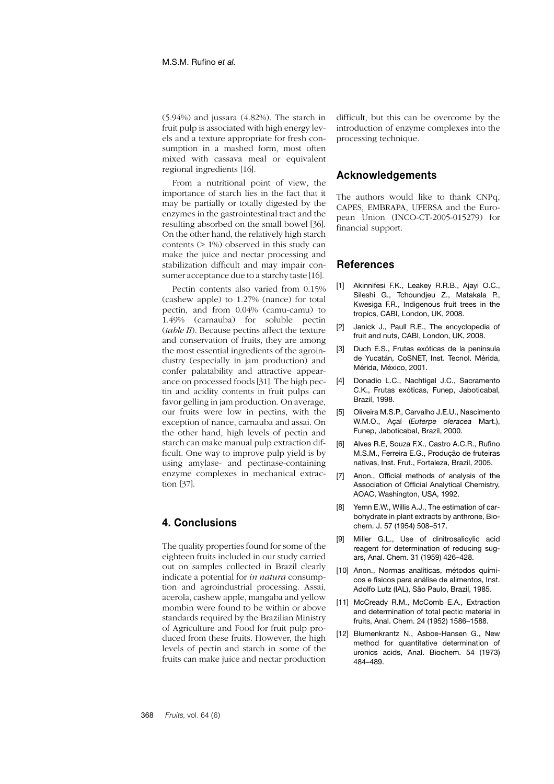(5.94%) and jussara (4.82%). The starch in fruit pulp is associated with high energy levels and a texture appropriate for fresh consumption in a mashed form, most often mixed with cassava meal or equivalent regional ingredients [16].

From a nutritional point of view, the importance of starch lies in the fact that it may be partially or totally digested by the enzymes in the gastrointestinal tract and the resulting absorbed on the small bowel [36]. On the other hand, the relatively high starch contents (> 1%) observed in this study can make the juice and nectar processing and stabilization difficult and may impair consumer acceptance due to a starchy taste [16].

Pectin contents also varied from 0.15% (cashew apple) to 1.27% (nance) for total pectin, and from 0.04% (camu-camu) to 1.49% (carnauba) for soluble pectin (*table II*). Because pectins affect the texture and conservation of fruits, they are among the most essential ingredients of the agroindustry (especially in jam production) and confer palatability and attractive appearance on processed foods [31]. The high pectin and acidity contents in fruit pulps can favor gelling in jam production. On average, our fruits were low in pectins, with the exception of nance, carnauba and assai. On the other hand, high levels of pectin and starch can make manual pulp extraction difficult. One way to improve pulp yield is by using amylase- and pectinase-containing enzyme complexes in mechanical extraction [37].

## **4. Conclusions**

The quality properties found for some of the eighteen fruits included in our study carried out on samples collected in Brazil clearly indicate a potential for *in natura* consumption and agroindustrial processing. Assai, acerola, cashew apple, mangaba and yellow mombin were found to be within or above standards required by the Brazilian Ministry of Agriculture and Food for fruit pulp produced from these fruits. However, the high levels of pectin and starch in some of the fruits can make juice and nectar production

difficult, but this can be overcome by the introduction of enzyme complexes into the processing technique.

#### **Acknowledgements**

The authors would like to thank CNPq, CAPES, EMBRAPA, UFERSA and the European Union (INCO-CT-2005-015279) for financial support.

#### **References**

- [1] Akinnifesi F.K., Leakey R.R.B., Ajayi O.C., Sileshi G., Tchoundjeu Z., Matakala P., Kwesiga F.R., Indigenous fruit trees in the tropics, CABI, London, UK, 2008.
- [2] Janick J., Paull R.E., The encyclopedia of fruit and nuts, CABI, London, UK, 2008.
- [3] Duch E.S., Frutas exóticas de la peninsula de Yucatán, CoSNET, Inst. Tecnol. Mérida, Mérida, México, 2001.
- [4] Donadio L.C., Nachtigal J.C., Sacramento C.K., Frutas exóticas, Funep, Jaboticabal, Brazil, 1998.
- [5] Oliveira M.S.P., Carvalho J.E.U., Nascimento W.M.O., Açaí (*Euterpe oleracea* Mart.), Funep, Jaboticabal, Brazil, 2000.
- [6] Alves R.E, Souza F.X., Castro A.C.R., Rufino M.S.M., Ferreira E.G., Produção de fruteiras nativas, Inst. Frut., Fortaleza, Brazil, 2005.
- [7] Anon., Official methods of analysis of the Association of Official Analytical Chemistry, AOAC, Washington, USA, 1992.
- [8] Yemn E.W., Willis A.J., The estimation of carbohydrate in plant extracts by anthrone, Biochem. J. 57 (1954) 508–517.
- [9] Miller G.L., Use of dinitrosalicylic acid reagent for determination of reducing sugars, Anal. Chem. 31 (1959) 426–428.
- [10] Anon., Normas analíticas, métodos químicos e físicos para análise de alimentos, Inst. Adolfo Lutz (IAL), São Paulo, Brazil, 1985.
- [11] McCready R.M., McComb E.A., Extraction and determination of total pectic material in fruits, Anal. Chem. 24 (1952) 1586–1588.
- [12] Blumenkrantz N., Asboe-Hansen G., New method for quantitative determination of uronics acids, Anal. Biochem. 54 (1973) 484–489.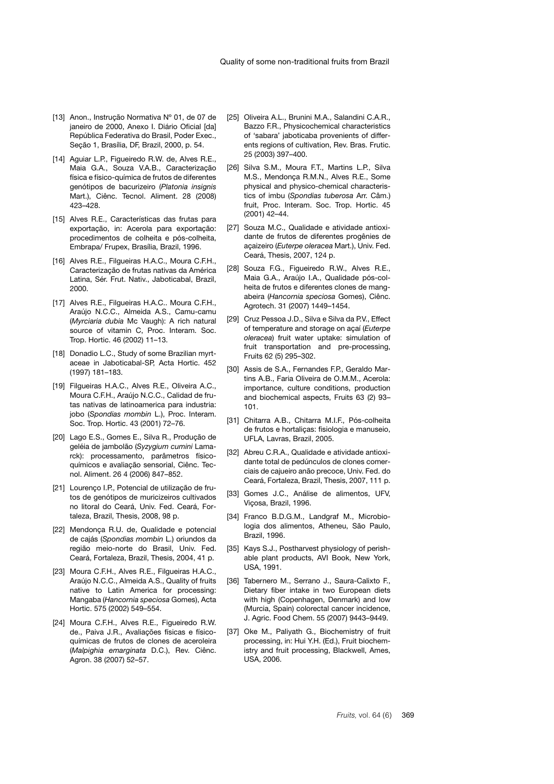- [13] Anon., Instrução Normativa Nº 01, de 07 de janeiro de 2000, Anexo I. Diário Oficial [da] República Federativa do Brasil, Poder Exec., Seção 1, Brasília, DF, Brazil, 2000, p. 54.
- [14] Aguiar L.P., Figueiredo R.W. de, Alves R.E., Maia G.A., Souza V.A.B., Caracterização física e físico-química de frutos de diferentes genótipos de bacurizeiro (*Platonia insignis* Mart.), Ciênc. Tecnol. Aliment. 28 (2008) 423–428.
- [15] Alves R.E., Características das frutas para exportação, in: Acerola para exportação: procedimentos de colheita e pós-colheita, Embrapa/ Frupex, Brasília, Brazil, 1996.
- [16] Alves R.E., Filgueiras H.A.C., Moura C.F.H., Caracterização de frutas nativas da América Latina, Sér. Frut. Nativ., Jaboticabal, Brazil, 2000.
- [17] Alves R.E., Filgueiras H.A.C.. Moura C.F.H., Araújo N.C.C., Almeida A.S., Camu-camu (*Myrciaria dubia* Mc Vaugh): A rich natural source of vitamin C, Proc. Interam. Soc. Trop. Hortic. 46 (2002) 11–13.
- [18] Donadio L.C., Study of some Brazilian myrtaceae in Jaboticabal-SP, Acta Hortic. 452 (1997) 181–183.
- [19] Filgueiras H.A.C., Alves R.E., Oliveira A.C., Moura C.F.H., Araújo N.C.C., Calidad de frutas nativas de latinoamerica para industria: jobo (*Spondias mombin* L.), Proc. Interam. Soc. Trop. Hortic. 43 (2001) 72–76.
- [20] Lago E.S., Gomes E., Silva R., Produção de geléia de jambolão (*Syzygium cumini* Lamarck): processamento, parâmetros físicoquímicos e avaliação sensorial, Ciênc. Tecnol. Aliment. 26 4 (2006) 847–852.
- [21] Lourenço I.P., Potencial de utilização de frutos de genótipos de muricizeiros cultivados no litoral do Ceará, Univ. Fed. Ceará, Fortaleza, Brazil, Thesis, 2008, 98 p.
- [22] Mendonça R.U. de, Qualidade e potencial de cajás (*Spondias mombin* L.) oriundos da região meio-norte do Brasil, Univ. Fed. Ceará, Fortaleza, Brazil, Thesis, 2004, 41 p.
- [23] Moura C.F.H., Alves R.E., Filgueiras H.A.C., Araújo N.C.C., Almeida A.S., Quality of fruits native to Latin America for processing: Mangaba (*Hancornia speciosa* Gomes), Acta Hortic. 575 (2002) 549–554.
- [24] Moura C.F.H., Alves R.E., Figueiredo R.W. de., Paiva J.R., Avaliações físicas e físicoquímicas de frutos de clones de aceroleira (*Malpighia emarginata* D.C.), Rev. Ciênc. Agron. 38 (2007) 52–57.
- [25] Oliveira A.L., Brunini M.A., Salandini C.A.R., Bazzo F.R., Physicochemical characteristics of 'sabara' jaboticaba provenients of differents regions of cultivation, Rev. Bras. Frutic. 25 (2003) 397–400.
- [26] Silva S.M., Moura F.T., Martins L.P., Silva M.S., Mendonça R.M.N., Alves R.E., Some physical and physico-chemical characteristics of imbu (*Spondias tuberosa* Arr. Câm.) fruit, Proc. Interam. Soc. Trop. Hortic. 45 (2001) 42–44.
- [27] Souza M.C., Qualidade e atividade antioxidante de frutos de diferentes progênies de açaizeiro (*Euterpe oleracea* Mart.), Univ. Fed. Ceará, Thesis, 2007, 124 p.
- [28] Souza F.G., Figueiredo R.W., Alves R.E., Maia G.A., Araújo I.A., Qualidade pós-colheita de frutos e diferentes clones de mangabeira (*Hancornia speciosa* Gomes), Ciênc. Agrotech. 31 (2007) 1449–1454.
- [29] Cruz Pessoa J.D., Silva e Silva da P.V., Effect of temperature and storage on açaí (*Euterpe oleracea*) fruit water uptake: simulation of fruit transportation and pre-processing, Fruits 62 (5) 295–302.
- [30] Assis de S.A., Fernandes F.P., Geraldo Martins A.B., Faria Oliveira de O.M.M., Acerola: importance, culture conditions, production and biochemical aspects, Fruits 63 (2) 93– 101.
- [31] Chitarra A.B., Chitarra M.I.F., Pós-colheita de frutos e hortaliças: fisiologia e manuseio, UFLA, Lavras, Brazil, 2005.
- [32] Abreu C.R.A., Qualidade e atividade antioxidante total de pedúnculos de clones comerciais de cajueiro anão precoce, Univ. Fed. do Ceará, Fortaleza, Brazil, Thesis, 2007, 111 p.
- [33] Gomes J.C., Análise de alimentos, UFV, Viçosa, Brazil, 1996.
- [34] Franco B.D.G.M., Landgraf M., Microbiologia dos alimentos, Atheneu, São Paulo, Brazil, 1996.
- [35] Kays S.J., Postharvest physiology of perishable plant products, AVI Book, New York, USA, 1991.
- [36] Tabernero M., Serrano J., Saura-Calixto F., Dietary fiber intake in two European diets with high (Copenhagen, Denmark) and low (Murcia, Spain) colorectal cancer incidence, J. Agric. Food Chem. 55 (2007) 9443–9449.
- [37] Oke M., Paliyath G., Biochemistry of fruit processing, in: Hui Y.H. (Ed.), Fruit biochemistry and fruit processing, Blackwell, Ames, USA, 2006.